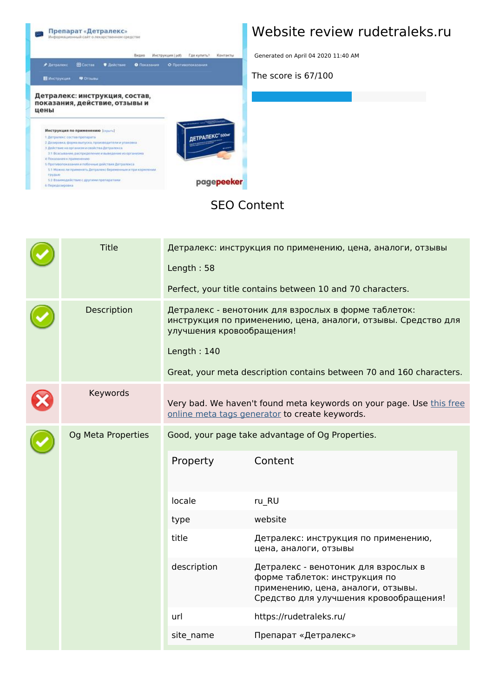

#### **Website review rudetraleks.ru**

Generated on April 04 2020 11:40 AM

**The score is 67/100**

#### **SEO Content**

|  | <b>Title</b>       | Length: 58                               | Детралекс: инструкция по применению, цена, аналоги, отзывы<br>Perfect, your title contains between 10 and 70 characters.                                                                      |
|--|--------------------|------------------------------------------|-----------------------------------------------------------------------------------------------------------------------------------------------------------------------------------------------|
|  | Description        | улучшения кровообращения!<br>Length: 140 | Детралекс - венотоник для взрослых в форме таблеток:<br>инструкция по применению, цена, аналоги, отзывы. Средство для<br>Great, your meta description contains between 70 and 160 characters. |
|  | Keywords           |                                          | Very bad. We haven't found meta keywords on your page. Use this free<br>online meta tags generator to create keywords.                                                                        |
|  | Og Meta Properties | Property                                 | Good, your page take advantage of Og Properties.<br>Content                                                                                                                                   |
|  |                    | locale                                   | ru_RU                                                                                                                                                                                         |
|  |                    | type                                     | website                                                                                                                                                                                       |
|  |                    | title                                    | Детралекс: инструкция по применению,<br>цена, аналоги, отзывы                                                                                                                                 |
|  |                    | description                              | Детралекс - венотоник для взрослых в<br>форме таблеток: инструкция по<br>применению, цена, аналоги, отзывы.<br>Средство для улучшения кровообращения!                                         |
|  |                    | url                                      | https://rudetraleks.ru/                                                                                                                                                                       |
|  |                    | site_name                                | Препарат «Детралекс»                                                                                                                                                                          |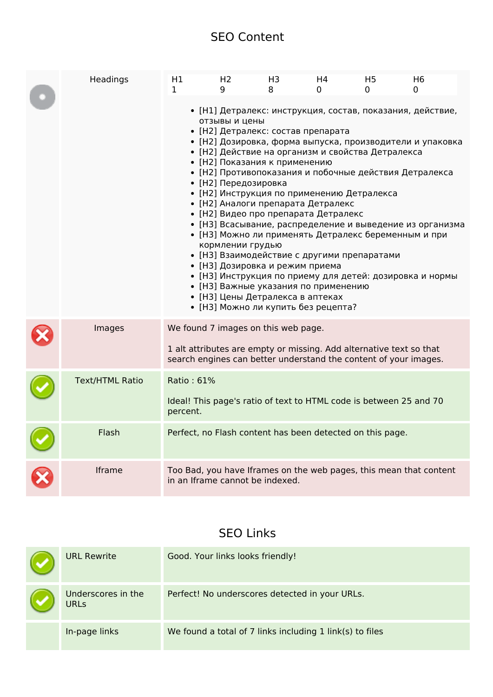#### **SEO Content**

| Headings               | H1<br>1.                                                                                              | H <sub>2</sub><br>q                                                                                                                                                                                                                                                                  | H3<br>8 | H4<br>0                                                                                                                                                                                                                                                                                                                                          | H <sub>5</sub><br>0 | H <sub>6</sub><br>0                                                                                                                                                                                                                              |
|------------------------|-------------------------------------------------------------------------------------------------------|--------------------------------------------------------------------------------------------------------------------------------------------------------------------------------------------------------------------------------------------------------------------------------------|---------|--------------------------------------------------------------------------------------------------------------------------------------------------------------------------------------------------------------------------------------------------------------------------------------------------------------------------------------------------|---------------------|--------------------------------------------------------------------------------------------------------------------------------------------------------------------------------------------------------------------------------------------------|
|                        |                                                                                                       | отзывы и цены<br>• [Н2] Детралекс: состав препарата<br>• [Н2] Показания к применению<br>• [Н2] Передозировка<br>• [Н2] Аналоги препарата Детралекс<br>кормлении грудью<br>• [НЗ] Дозировка и режим приема<br>• [НЗ] Цены Детралекса в аптеках<br>• [НЗ] Можно ли купить без рецепта? |         | • [Н2] Действие на организм и свойства Детралекса<br>• [Н2] Противопоказания и побочные действия Детралекса<br>• [Н2] Инструкция по применению Детралекса<br>• [Н2] Видео про препарата Детралекс<br>• [НЗ] Можно ли применять Детралекс беременным и при<br>• [НЗ] Взаимодействие с другими препаратами<br>• [НЗ] Важные указания по применению |                     | • [Н1] Детралекс: инструкция, состав, показания, действие,<br>• [Н2] Дозировка, форма выпуска, производители и упаковка<br>• [НЗ] Всасывание, распределение и выведение из организма<br>• [НЗ] Инструкция по приему для детей: дозировка и нормы |
| Images                 | We found 7 images on this web page.                                                                   |                                                                                                                                                                                                                                                                                      |         | 1 alt attributes are empty or missing. Add alternative text so that<br>search engines can better understand the content of your images.                                                                                                                                                                                                          |                     |                                                                                                                                                                                                                                                  |
| <b>Text/HTML Ratio</b> | Ratio: 61%<br>percent.                                                                                |                                                                                                                                                                                                                                                                                      |         | Ideal! This page's ratio of text to HTML code is between 25 and 70                                                                                                                                                                                                                                                                               |                     |                                                                                                                                                                                                                                                  |
| Flash                  |                                                                                                       |                                                                                                                                                                                                                                                                                      |         | Perfect, no Flash content has been detected on this page.                                                                                                                                                                                                                                                                                        |                     |                                                                                                                                                                                                                                                  |
| Iframe                 | Too Bad, you have Iframes on the web pages, this mean that content<br>in an Iframe cannot be indexed. |                                                                                                                                                                                                                                                                                      |         |                                                                                                                                                                                                                                                                                                                                                  |                     |                                                                                                                                                                                                                                                  |

#### **SEO Links**

| <b>URL Rewrite</b>                | Good. Your links looks friendly!                         |
|-----------------------------------|----------------------------------------------------------|
| Underscores in the<br><b>URLS</b> | Perfect! No underscores detected in your URLs.           |
| In-page links                     | We found a total of 7 links including 1 link(s) to files |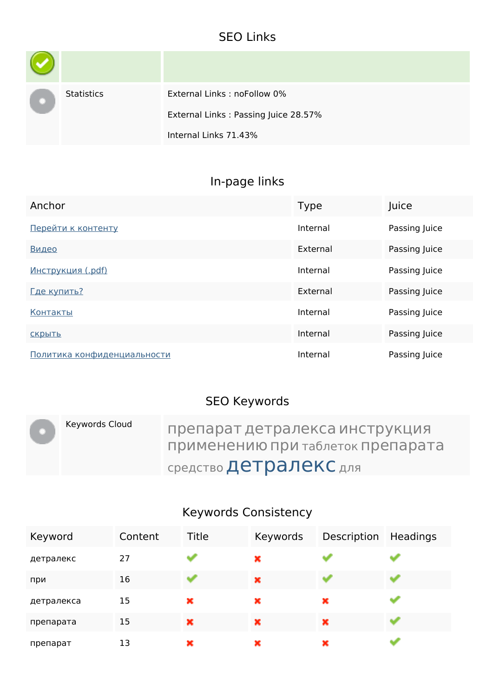### **SEO Links**

| <b>Statistics</b> | External Links: noFollow 0%          |
|-------------------|--------------------------------------|
|                   | External Links: Passing Juice 28.57% |
|                   | Internal Links 71.43%                |

# **In-page links**

| Anchor                      | <b>Type</b> | Juice         |
|-----------------------------|-------------|---------------|
| Перейти к контенту          | Internal    | Passing Juice |
| Видео                       | External    | Passing Juice |
| <u>Инструкция (.pdf)</u>    | Internal    | Passing Juice |
| Где купить?                 | External    | Passing Juice |
| Контакты                    | Internal    | Passing Juice |
| СКРЫТЬ                      | Internal    | Passing Juice |
| Политика конфиденциальности | Internal    | Passing Juice |

### **SEO Keywords**

| Keywords Cloud | препарат детралекса инструкция<br>применению при таблеток препарата |
|----------------|---------------------------------------------------------------------|
|                | средство Детралекс для                                              |

### **Keywords Consistency**

| Keyword    | Content | Title | Keywords | Description | Headings |
|------------|---------|-------|----------|-------------|----------|
| детралекс  | 27      |       | ×        |             |          |
| при        | 16      | and i | ×        | alisi       |          |
| детралекса | 15      | ×     | ×        | ×           |          |
| препарата  | 15      | ×     | ×        | ×           |          |
| препарат   | 13      | ×     | ×        | ×           |          |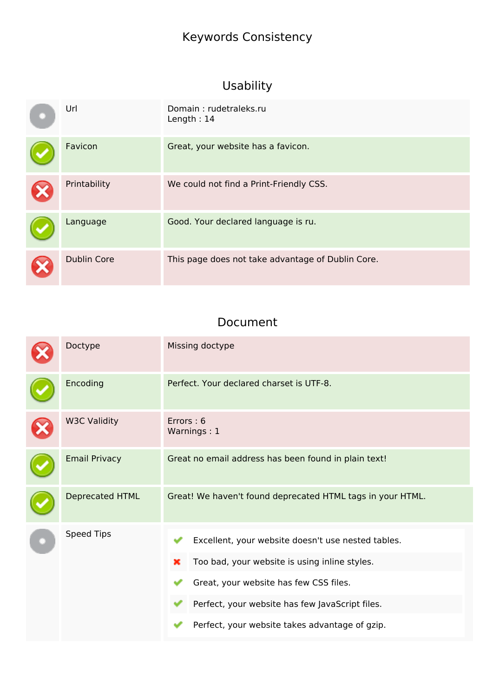## **Keywords Consistency**

## **Usability**

| Url                | Domain: rudetraleks.ru<br>Length: $14$            |
|--------------------|---------------------------------------------------|
| Favicon            | Great, your website has a favicon.                |
| Printability       | We could not find a Print-Friendly CSS.           |
| Language           | Good. Your declared language is ru.               |
| <b>Dublin Core</b> | This page does not take advantage of Dublin Core. |

#### **Document**

| Doctype              | Missing doctype                                                                                                                                                                                                                                         |  |  |
|----------------------|---------------------------------------------------------------------------------------------------------------------------------------------------------------------------------------------------------------------------------------------------------|--|--|
| Encoding             | Perfect. Your declared charset is UTF-8.                                                                                                                                                                                                                |  |  |
| <b>W3C Validity</b>  | Errors: 6<br>Warnings: 1                                                                                                                                                                                                                                |  |  |
| <b>Email Privacy</b> | Great no email address has been found in plain text!                                                                                                                                                                                                    |  |  |
| Deprecated HTML      | Great! We haven't found deprecated HTML tags in your HTML.                                                                                                                                                                                              |  |  |
| <b>Speed Tips</b>    | Excellent, your website doesn't use nested tables.<br>Too bad, your website is using inline styles.<br>×<br>Great, your website has few CSS files.<br>Perfect, your website has few JavaScript files.<br>Perfect, your website takes advantage of gzip. |  |  |